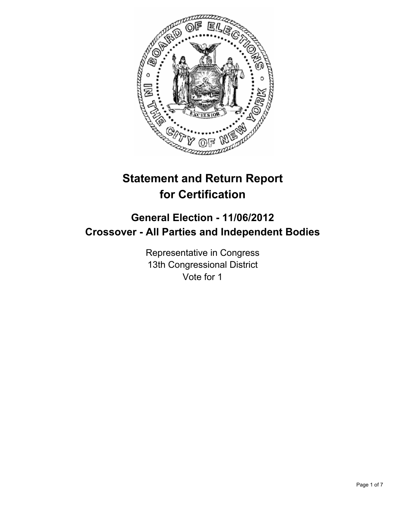

# **Statement and Return Report for Certification**

## **General Election - 11/06/2012 Crossover - All Parties and Independent Bodies**

Representative in Congress 13th Congressional District Vote for 1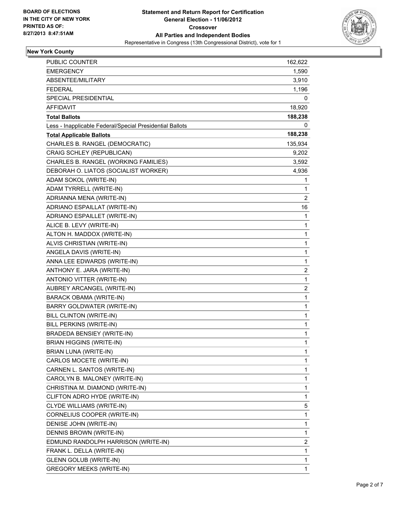

#### **New York County**

| PUBLIC COUNTER                                           | 162,622      |
|----------------------------------------------------------|--------------|
| <b>EMERGENCY</b>                                         | 1,590        |
| ABSENTEE/MILITARY                                        | 3,910        |
| <b>FEDERAL</b>                                           | 1,196        |
| SPECIAL PRESIDENTIAL                                     | 0            |
| AFFIDAVIT                                                | 18,920       |
| <b>Total Ballots</b>                                     | 188,238      |
| Less - Inapplicable Federal/Special Presidential Ballots | 0            |
| <b>Total Applicable Ballots</b>                          | 188,238      |
| CHARLES B. RANGEL (DEMOCRATIC)                           | 135,934      |
| CRAIG SCHLEY (REPUBLICAN)                                | 9,202        |
| CHARLES B. RANGEL (WORKING FAMILIES)                     | 3,592        |
| DEBORAH O. LIATOS (SOCIALIST WORKER)                     | 4,936        |
| ADAM SOKOL (WRITE-IN)                                    | 1            |
| ADAM TYRRELL (WRITE-IN)                                  | 1            |
| ADRIANNA MENA (WRITE-IN)                                 | 2            |
| ADRIANO ESPAILLAT (WRITE-IN)                             | 16           |
| ADRIANO ESPAILLET (WRITE-IN)                             | 1            |
| ALICE B. LEVY (WRITE-IN)                                 | 1            |
| ALTON H. MADDOX (WRITE-IN)                               | 1            |
| ALVIS CHRISTIAN (WRITE-IN)                               | 1            |
| ANGELA DAVIS (WRITE-IN)                                  | 1            |
| ANNA LEE EDWARDS (WRITE-IN)                              | 1            |
| ANTHONY E. JARA (WRITE-IN)                               | 2            |
| ANTONIO VITTER (WRITE-IN)                                | 1            |
| AUBREY ARCANGEL (WRITE-IN)                               | 2            |
| <b>BARACK OBAMA (WRITE-IN)</b>                           | 1            |
| BARRY GOLDWATER (WRITE-IN)                               | 1            |
| BILL CLINTON (WRITE-IN)                                  | 1            |
| <b>BILL PERKINS (WRITE-IN)</b>                           | 1            |
| <b>BRADEDA BENSIEY (WRITE-IN)</b>                        | 1            |
| <b>BRIAN HIGGINS (WRITE-IN)</b>                          | $\mathbf{1}$ |
| BRIAN LUNA (WRITE-IN)                                    | 1            |
| CARLOS MOCETE (WRITE-IN)                                 | 1            |
| CARNEN L. SANTOS (WRITE-IN)                              | 1            |
| CAROLYN B. MALONEY (WRITE-IN)                            | 1            |
| CHRISTINA M. DIAMOND (WRITE-IN)                          | 1            |
| CLIFTON ADRO HYDE (WRITE-IN)                             | 1            |
| CLYDE WILLIAMS (WRITE-IN)                                | 5            |
| CORNELIUS COOPER (WRITE-IN)                              | 1            |
| DENISE JOHN (WRITE-IN)                                   | 1            |
| DENNIS BROWN (WRITE-IN)                                  | 1            |
| EDMUND RANDOLPH HARRISON (WRITE-IN)                      | 2            |
| FRANK L. DELLA (WRITE-IN)                                | 1            |
| <b>GLENN GOLUB (WRITE-IN)</b>                            | 1            |
| <b>GREGORY MEEKS (WRITE-IN)</b>                          | 1            |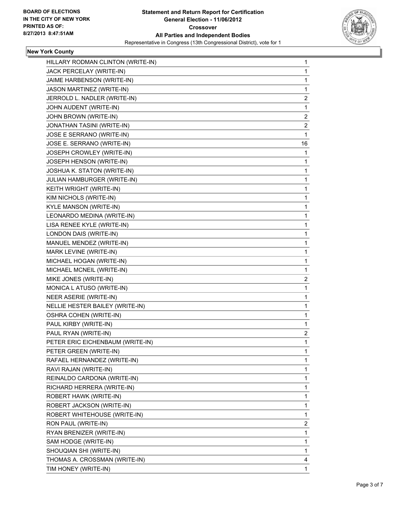

### **New York County**

| HILLARY RODMAN CLINTON (WRITE-IN) | 1              |
|-----------------------------------|----------------|
| JACK PERCELAY (WRITE-IN)          | 1              |
| JAIME HARBENSON (WRITE-IN)        | 1              |
| JASON MARTINEZ (WRITE-IN)         | 1              |
| JERROLD L. NADLER (WRITE-IN)      | 2              |
| JOHN AUDENT (WRITE-IN)            | 1              |
| JOHN BROWN (WRITE-IN)             | 2              |
| JONATHAN TASINI (WRITE-IN)        | $\overline{c}$ |
| JOSE E SERRANO (WRITE-IN)         | 1              |
| JOSE E. SERRANO (WRITE-IN)        | 16             |
| JOSEPH CROWLEY (WRITE-IN)         | 1              |
| JOSEPH HENSON (WRITE-IN)          | 1              |
| JOSHUA K. STATON (WRITE-IN)       | 1              |
| JULIAN HAMBURGER (WRITE-IN)       | 1              |
| KEITH WRIGHT (WRITE-IN)           | 1              |
| KIM NICHOLS (WRITE-IN)            | 1              |
| KYLE MANSON (WRITE-IN)            | 1              |
| LEONARDO MEDINA (WRITE-IN)        | 1              |
| LISA RENEE KYLE (WRITE-IN)        | 1              |
| LONDON DAIS (WRITE-IN)            | 1              |
| MANUEL MENDEZ (WRITE-IN)          | 1              |
| MARK LEVINE (WRITE-IN)            | 1              |
| MICHAEL HOGAN (WRITE-IN)          | 1              |
| MICHAEL MCNEIL (WRITE-IN)         | 1              |
| MIKE JONES (WRITE-IN)             | 2              |
| MONICA L ATUSO (WRITE-IN)         | 1              |
| NEER ASERIE (WRITE-IN)            | 1              |
| NELLIE HESTER BAILEY (WRITE-IN)   | 1              |
| <b>OSHRA COHEN (WRITE-IN)</b>     | 1              |
| PAUL KIRBY (WRITE-IN)             | 1              |
| PAUL RYAN (WRITE-IN)              | 2              |
| PETER ERIC EICHENBAUM (WRITE-IN)  | 1              |
| PETER GREEN (WRITE-IN)            | 1              |
| RAFAEL HERNANDEZ (WRITE-IN)       | 1              |
| RAVI RAJAN (WRITE-IN)             | 1              |
| REINALDO CARDONA (WRITE-IN)       | 1              |
| RICHARD HERRERA (WRITE-IN)        | 1              |
| ROBERT HAWK (WRITE-IN)            | 1              |
| ROBERT JACKSON (WRITE-IN)         | 1              |
| ROBERT WHITEHOUSE (WRITE-IN)      | 1              |
| RON PAUL (WRITE-IN)               | 2              |
| RYAN BRENIZER (WRITE-IN)          | 1              |
| SAM HODGE (WRITE-IN)              | 1              |
| SHOUQIAN SHI (WRITE-IN)           | 1              |
| THOMAS A. CROSSMAN (WRITE-IN)     | 4              |
| TIM HONEY (WRITE-IN)              | 1              |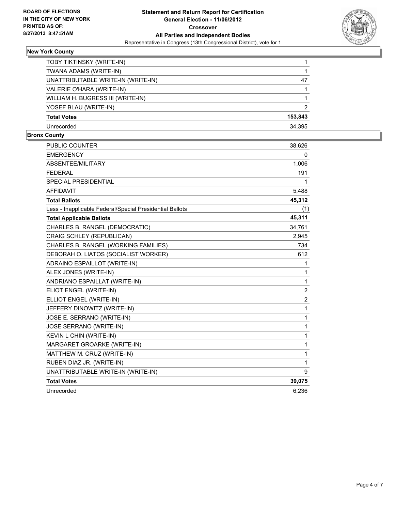

#### **New York County**

| TOBY TIKTINSKY (WRITE-IN)          |         |
|------------------------------------|---------|
| TWANA ADAMS (WRITE-IN)             |         |
| UNATTRIBUTABLE WRITE-IN (WRITE-IN) | 47      |
| VALERIE O'HARA (WRITE-IN)          |         |
| WILLIAM H. BUGRESS III (WRITE-IN)  |         |
| YOSEF BLAU (WRITE-IN)              | 2       |
| <b>Total Votes</b>                 | 153,843 |
| Unrecorded                         | 34.395  |

#### **Bronx County**

| <b>PUBLIC COUNTER</b>                                    | 38,626 |
|----------------------------------------------------------|--------|
| <b>EMERGENCY</b>                                         | 0      |
| <b>ABSENTEE/MILITARY</b>                                 | 1,006  |
| <b>FEDERAL</b>                                           | 191    |
| SPECIAL PRESIDENTIAL                                     | 1      |
| <b>AFFIDAVIT</b>                                         | 5,488  |
| <b>Total Ballots</b>                                     | 45,312 |
| Less - Inapplicable Federal/Special Presidential Ballots | (1)    |
| <b>Total Applicable Ballots</b>                          | 45,311 |
| CHARLES B. RANGEL (DEMOCRATIC)                           | 34,761 |
| CRAIG SCHLEY (REPUBLICAN)                                | 2,945  |
| CHARLES B. RANGEL (WORKING FAMILIES)                     | 734    |
| DEBORAH O. LIATOS (SOCIALIST WORKER)                     | 612    |
| ADRAINO ESPAILLOT (WRITE-IN)                             | 1      |
| ALEX JONES (WRITE-IN)                                    | 1      |
| ANDRIANO ESPAILLAT (WRITE-IN)                            | 1      |
| ELIOT ENGEL (WRITE-IN)                                   | 2      |
| ELLIOT ENGEL (WRITE-IN)                                  | 2      |
| JEFFERY DINOWITZ (WRITE-IN)                              | 1      |
| JOSE E. SERRANO (WRITE-IN)                               | 1      |
| JOSE SERRANO (WRITE-IN)                                  | 1      |
| KEVIN L CHIN (WRITE-IN)                                  | 1      |
| MARGARET GROARKE (WRITE-IN)                              | 1      |
| MATTHEW M. CRUZ (WRITE-IN)                               | 1      |
| RUBEN DIAZ JR. (WRITE-IN)                                | 1      |
| UNATTRIBUTABLE WRITE-IN (WRITE-IN)                       | 9      |
| <b>Total Votes</b>                                       | 39,075 |
| Unrecorded                                               | 6,236  |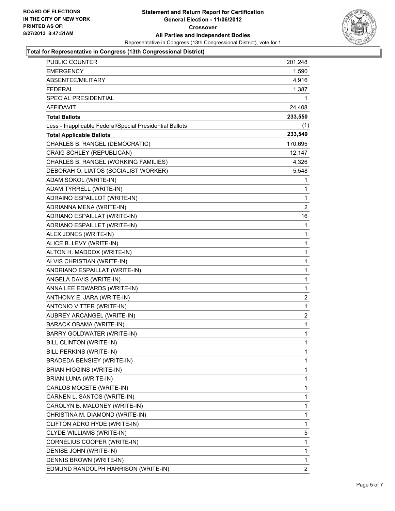

#### **Total for Representative in Congress (13th Congressional District)**

| PUBLIC COUNTER                                           | 201,248                 |
|----------------------------------------------------------|-------------------------|
| <b>EMERGENCY</b>                                         | 1,590                   |
| ABSENTEE/MILITARY                                        | 4,916                   |
| <b>FEDERAL</b>                                           | 1,387                   |
| SPECIAL PRESIDENTIAL                                     | 1                       |
| <b>AFFIDAVIT</b>                                         | 24,408                  |
| <b>Total Ballots</b>                                     | 233,550                 |
| Less - Inapplicable Federal/Special Presidential Ballots | (1)                     |
| <b>Total Applicable Ballots</b>                          | 233,549                 |
| CHARLES B. RANGEL (DEMOCRATIC)                           | 170,695                 |
| CRAIG SCHLEY (REPUBLICAN)                                | 12,147                  |
| CHARLES B. RANGEL (WORKING FAMILIES)                     | 4,326                   |
| DEBORAH O. LIATOS (SOCIALIST WORKER)                     | 5,548                   |
| ADAM SOKOL (WRITE-IN)                                    | 1                       |
| ADAM TYRRELL (WRITE-IN)                                  | 1                       |
| ADRAINO ESPAILLOT (WRITE-IN)                             | 1                       |
| ADRIANNA MENA (WRITE-IN)                                 | $\overline{c}$          |
| ADRIANO ESPAILLAT (WRITE-IN)                             | 16                      |
| ADRIANO ESPAILLET (WRITE-IN)                             | 1                       |
| ALEX JONES (WRITE-IN)                                    | 1                       |
| ALICE B. LEVY (WRITE-IN)                                 | 1                       |
| ALTON H. MADDOX (WRITE-IN)                               | 1                       |
| ALVIS CHRISTIAN (WRITE-IN)                               | 1                       |
| ANDRIANO ESPAILLAT (WRITE-IN)                            | 1                       |
| ANGELA DAVIS (WRITE-IN)                                  | 1                       |
| ANNA LEE EDWARDS (WRITE-IN)                              | 1                       |
| ANTHONY E. JARA (WRITE-IN)                               | 2                       |
| ANTONIO VITTER (WRITE-IN)                                | 1                       |
| AUBREY ARCANGEL (WRITE-IN)                               | $\overline{\mathbf{c}}$ |
| <b>BARACK OBAMA (WRITE-IN)</b>                           | 1                       |
| BARRY GOLDWATER (WRITE-IN)                               | 1                       |
| <b>BILL CLINTON (WRITE-IN)</b>                           | $\mathbf{1}$            |
| BILL PERKINS (WRITE-IN)                                  | 1                       |
| BRADEDA BENSIEY (WRITE-IN)                               | 1                       |
| <b>BRIAN HIGGINS (WRITE-IN)</b>                          | 1                       |
| BRIAN LUNA (WRITE-IN)                                    | 1                       |
| CARLOS MOCETE (WRITE-IN)                                 | 1                       |
| CARNEN L. SANTOS (WRITE-IN)                              | 1                       |
| CAROLYN B. MALONEY (WRITE-IN)                            | 1                       |
| CHRISTINA M. DIAMOND (WRITE-IN)                          | 1                       |
| CLIFTON ADRO HYDE (WRITE-IN)                             | 1                       |
| CLYDE WILLIAMS (WRITE-IN)                                | 5                       |
| CORNELIUS COOPER (WRITE-IN)                              | 1                       |
| DENISE JOHN (WRITE-IN)                                   | 1                       |
| DENNIS BROWN (WRITE-IN)                                  | 1                       |
| EDMUND RANDOLPH HARRISON (WRITE-IN)                      | 2                       |
|                                                          |                         |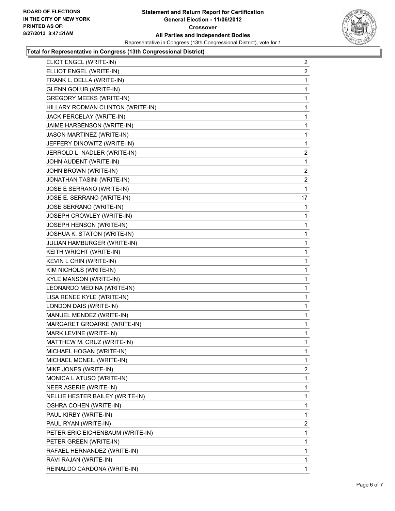

#### **Total for Representative in Congress (13th Congressional District)**

| ELIOT ENGEL (WRITE-IN)            | 2              |
|-----------------------------------|----------------|
| ELLIOT ENGEL (WRITE-IN)           | 2              |
| FRANK L. DELLA (WRITE-IN)         | 1              |
| <b>GLENN GOLUB (WRITE-IN)</b>     | 1              |
| <b>GREGORY MEEKS (WRITE-IN)</b>   | 1              |
| HILLARY RODMAN CLINTON (WRITE-IN) | 1              |
| JACK PERCELAY (WRITE-IN)          | 1              |
| JAIME HARBENSON (WRITE-IN)        | 1              |
| JASON MARTINEZ (WRITE-IN)         | 1              |
| JEFFERY DINOWITZ (WRITE-IN)       | 1              |
| JERROLD L. NADLER (WRITE-IN)      | $\overline{a}$ |
| JOHN AUDENT (WRITE-IN)            | 1              |
| JOHN BROWN (WRITE-IN)             | $\overline{2}$ |
| <b>JONATHAN TASINI (WRITE-IN)</b> | 2              |
| JOSE E SERRANO (WRITE-IN)         | 1              |
| JOSE E. SERRANO (WRITE-IN)        | 17             |
| JOSE SERRANO (WRITE-IN)           | $\mathbf 1$    |
| JOSEPH CROWLEY (WRITE-IN)         | 1              |
| JOSEPH HENSON (WRITE-IN)          | 1              |
| JOSHUA K. STATON (WRITE-IN)       | 1              |
| JULIAN HAMBURGER (WRITE-IN)       | 1              |
| KEITH WRIGHT (WRITE-IN)           | 1              |
| KEVIN L CHIN (WRITE-IN)           | 1              |
| KIM NICHOLS (WRITE-IN)            | 1              |
| KYLE MANSON (WRITE-IN)            | 1              |
| LEONARDO MEDINA (WRITE-IN)        | 1              |
| LISA RENEE KYLE (WRITE-IN)        | 1              |
| LONDON DAIS (WRITE-IN)            | 1              |
| MANUEL MENDEZ (WRITE-IN)          | 1              |
| MARGARET GROARKE (WRITE-IN)       | 1              |
| MARK LEVINE (WRITE-IN)            | 1              |
| MATTHEW M. CRUZ (WRITE-IN)        | 1              |
| MICHAEL HOGAN (WRITE-IN)          | 1              |
| MICHAEL MCNEIL (WRITE-IN)         | 1              |
| MIKE JONES (WRITE-IN)             | 2              |
| MONICA L ATUSO (WRITE-IN)         | 1              |
| NEER ASERIE (WRITE-IN)            | 1              |
| NELLIE HESTER BAILEY (WRITE-IN)   | 1              |
| <b>OSHRA COHEN (WRITE-IN)</b>     | 1              |
| PAUL KIRBY (WRITE-IN)             | 1              |
| PAUL RYAN (WRITE-IN)              | $\overline{2}$ |
| PETER ERIC EICHENBAUM (WRITE-IN)  | 1              |
| PETER GREEN (WRITE-IN)            | 1              |
| RAFAEL HERNANDEZ (WRITE-IN)       | 1              |
| RAVI RAJAN (WRITE-IN)             | 1              |
| REINALDO CARDONA (WRITE-IN)       | 1.             |
|                                   |                |